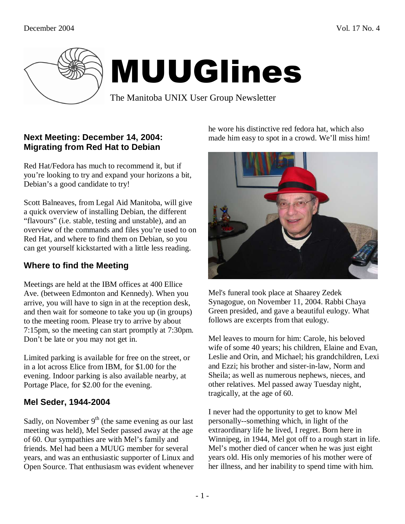

# MUUGlines

The Manitoba UNIX User Group Newsletter

## **Next Meeting: December 14, 2004: Migrating from Red Hat to Debian**

Red Hat/Fedora has much to recommend it, but if you're looking to try and expand your horizons a bit, Debian's a good candidate to try!

Scott Balneaves, from Legal Aid Manitoba, will give a quick overview of installing Debian, the different "flavours" (i.e. stable, testing and unstable), and an overview of the commands and files you're used to on Red Hat, and where to find them on Debian, so you can get yourself kickstarted with a little less reading.

# **Where to find the Meeting**

Meetings are held at the IBM offices at 400 Ellice Ave. (between Edmonton and Kennedy). When you arrive, you will have to sign in at the reception desk, and then wait for someone to take you up (in groups) to the meeting room. Please try to arrive by about 7:15pm, so the meeting can start promptly at 7:30pm. Don't be late or you may not get in.

Limited parking is available for free on the street, or in a lot across Elice from IBM, for \$1.00 for the evening. Indoor parking is also available nearby, at Portage Place, for \$2.00 for the evening.

## **Mel Seder, 1944-2004**

Sadly, on November  $9<sup>th</sup>$  (the same evening as our last meeting was held), Mel Seder passed away at the age of 60. Our sympathies are with Mel's family and friends. Mel had been a MUUG member for several years, and was an enthusiastic supporter of Linux and Open Source. That enthusiasm was evident whenever he wore his distinctive red fedora hat, which also made him easy to spot in a crowd. We'll miss him!



Mel's funeral took place at Shaarey Zedek Synagogue, on November 11, 2004. Rabbi Chaya Green presided, and gave a beautiful eulogy. What follows are excerpts from that eulogy.

Mel leaves to mourn for him: Carole, his beloved wife of some 40 years; his children, Elaine and Evan, Leslie and Orin, and Michael; his grandchildren, Lexi and Ezzi; his brother and sister-in-law, Norm and Sheila; as well as numerous nephews, nieces, and other relatives. Mel passed away Tuesday night, tragically, at the age of 60.

I never had the opportunity to get to know Mel personally--something which, in light of the extraordinary life he lived, I regret. Born here in Winnipeg, in 1944, Mel got off to a rough start in life. Mel's mother died of cancer when he was just eight years old. His only memories of his mother were of her illness, and her inability to spend time with him.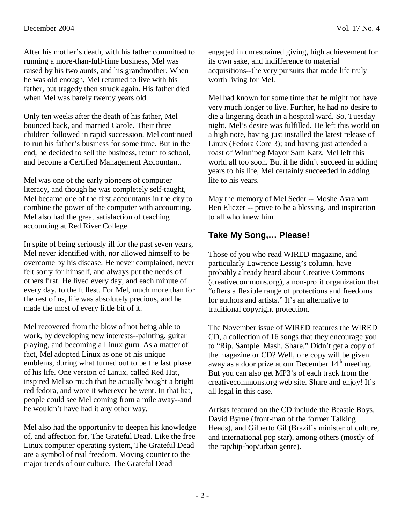After his mother's death, with his father committed to running a more-than-full-time business, Mel was raised by his two aunts, and his grandmother. When he was old enough, Mel returned to live with his father, but tragedy then struck again. His father died when Mel was barely twenty years old.

Only ten weeks after the death of his father, Mel bounced back, and married Carole. Their three children followed in rapid succession. Mel continued to run his father's business for some time. But in the end, he decided to sell the business, return to school, and become a Certified Management Accountant.

Mel was one of the early pioneers of computer literacy, and though he was completely self-taught, Mel became one of the first accountants in the city to combine the power of the computer with accounting. Mel also had the great satisfaction of teaching accounting at Red River College.

In spite of being seriously ill for the past seven years, Mel never identified with, nor allowed himself to be overcome by his disease. He never complained, never felt sorry for himself, and always put the needs of others first. He lived every day, and each minute of every day, to the fullest. For Mel, much more than for the rest of us, life was absolutely precious, and he made the most of every little bit of it.

Mel recovered from the blow of not being able to work, by developing new interests--painting, guitar playing, and becoming a Linux guru. As a matter of fact, Mel adopted Linux as one of his unique emblems, during what turned out to be the last phase of his life. One version of Linux, called Red Hat, inspired Mel so much that he actually bought a bright red fedora, and wore it wherever he went. In that hat, people could see Mel coming from a mile away--and he wouldn't have had it any other way.

Mel also had the opportunity to deepen his knowledge of, and affection for, The Grateful Dead. Like the free Linux computer operating system, The Grateful Dead are a symbol of real freedom. Moving counter to the major trends of our culture, The Grateful Dead

engaged in unrestrained giving, high achievement for its own sake, and indifference to material acquisitions--the very pursuits that made life truly worth living for Mel.

Mel had known for some time that he might not have very much longer to live. Further, he had no desire to die a lingering death in a hospital ward. So, Tuesday night, Mel's desire was fulfilled. He left this world on a high note, having just installed the latest release of Linux (Fedora Core 3); and having just attended a roast of Winnipeg Mayor Sam Katz. Mel left this world all too soon. But if he didn't succeed in adding years to his life, Mel certainly succeeded in adding life to his years.

May the memory of Mel Seder -- Moshe Avraham Ben Eliezer -- prove to be a blessing, and inspiration to all who knew him.

## **Take My Song,… Please!**

Those of you who read WIRED magazine, and particularly Lawrence Lessig's column, have probably already heard about Creative Commons (creativecommons.org), a non-profit organization that "offers a flexible range of protections and freedoms for authors and artists." It's an alternative to traditional copyright protection.

The November issue of WIRED features the WIRED CD, a collection of 16 songs that they encourage you to "Rip. Sample. Mash. Share." Didn't get a copy of the magazine or CD? Well, one copy will be given away as a door prize at our December  $14<sup>th</sup>$  meeting. But you can also get MP3's of each track from the creativecommons.org web site. Share and enjoy! It's all legal in this case.

Artists featured on the CD include the Beastie Boys, David Byrne (front-man of the former Talking Heads), and Gilberto Gil (Brazil's minister of culture, and international pop star), among others (mostly of the rap/hip-hop/urban genre).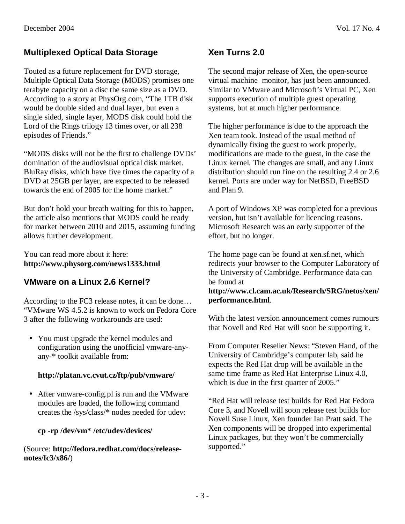## **Multiplexed Optical Data Storage**

Touted as a future replacement for DVD storage, Multiple Optical Data Storage (MODS) promises one terabyte capacity on a disc the same size as a DVD. According to a story at PhysOrg.com, "The 1TB disk would be double sided and dual layer, but even a single sided, single layer, MODS disk could hold the Lord of the Rings trilogy 13 times over, or all 238 episodes of Friends."

"MODS disks will not be the first to challenge DVDs' domination of the audiovisual optical disk market. BluRay disks, which have five times the capacity of a DVD at 25GB per layer, are expected to be released towards the end of 2005 for the home market."

But don't hold your breath waiting for this to happen, the article also mentions that MODS could be ready for market between 2010 and 2015, assuming funding allows further development.

You can read more about it here: **http://www.physorg.com/news1333.html** 

## **VMware on a Linux 2.6 Kernel?**

According to the FC3 release notes, it can be done… "VMware WS 4.5.2 is known to work on Fedora Core 3 after the following workarounds are used:

• You must upgrade the kernel modules and configuration using the unofficial vmware-anyany-\* toolkit available from:

#### **http://platan.vc.cvut.cz/ftp/pub/vmware/**

• After vmware-config.pl is run and the VMware modules are loaded, the following command creates the /sys/class/\* nodes needed for udev:

#### **cp -rp /dev/vm\* /etc/udev/devices/**

(Source: **http://fedora.redhat.com/docs/releasenotes/fc3/x86/**)

## **Xen Turns 2.0**

The second major release of Xen, the open-source virtual machine monitor, has just been announced. Similar to VMware and Microsoft's Virtual PC, Xen supports execution of multiple guest operating systems, but at much higher performance.

The higher performance is due to the approach the Xen team took. Instead of the usual method of dynamically fixing the guest to work properly, modifications are made to the guest, in the case the Linux kernel. The changes are small, and any Linux distribution should run fine on the resulting 2.4 or 2.6 kernel. Ports are under way for NetBSD, FreeBSD and Plan 9.

A port of Windows XP was completed for a previous version, but isn't available for licencing reasons. Microsoft Research was an early supporter of the effort, but no longer.

The home page can be found at xen.sf.net, which redirects your browser to the Computer Laboratory of the University of Cambridge. Performance data can be found at

#### **http://www.cl.cam.ac.uk/Research/SRG/netos/xen/ performance.html**.

With the latest version announcement comes rumours that Novell and Red Hat will soon be supporting it.

From Computer Reseller News: "Steven Hand, of the University of Cambridge's computer lab, said he expects the Red Hat drop will be available in the same time frame as Red Hat Enterprise Linux 4.0, which is due in the first quarter of 2005."

"Red Hat will release test builds for Red Hat Fedora Core 3, and Novell will soon release test builds for Novell Suse Linux, Xen founder Ian Pratt said. The Xen components will be dropped into experimental Linux packages, but they won't be commercially supported."